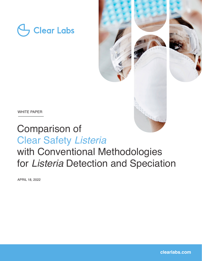



## Comparison of Clear Safety *Listeria*

# with Conventional Methodologies for *Listeria* Detection and Speciation

APRIL 18, 2022

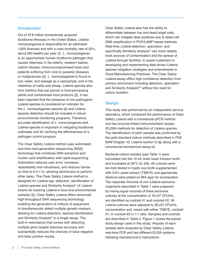## **Introduction**

Out of 47.8 million domestically acquired foodborne illnesses in the United States, *Listeria monocytogenes* is responsible for an estimated 1,600 illnesses and with a case mortality rate of 20%, about 260 deaths per year [\(1\)](#page-4-0). *L. monocytogenes* is an opportunistic human foodborne pathogen that causes listeriosis in the elderly, newborn babies, unborn fetuses, immunocompromised hosts and patients suffering from viral or parasitic diseases or malignancies [\(2\)](#page-4-0). *L. monocytogenes* is found in soil, water, and sewage as a saprophyte, and in the intestines of cattle and sheep. *Listeria* species also form biofilms that can persist in food-processing plants and contaminate food products [\(3](#page-4-0)). It has been reported that the presence of non-pathogenic *Listeria* species is considered an indicator for the *L. monocytogenes* species [\(4\)](#page-4-0) and *Listeria* species detection should be included in robust environmental monitoring programs. Therefore, accurate identification of *L. monocytogenes* and *Listeria* species is important in mitigating foodborne outbreaks and for verifying the effectiveness of a pathogen control program.

The Clear Safety *Listeria* method uses automated, real-time next-generation sequencing (NGS) technology that combines DNA extraction and nucleic acid amplification with rapid sequencing. Automation reduces user error, increases repeatability and robustness, and reduces handson time to 0.5-1 hr, allowing technicians to perform other tasks. The Clear Safety *Listeria* method is designed for *Listeria* spp. detection, identification of *Listeria* species and Similarity Analysis® of *Listeria* strains for tracking *Listeria* in food and environmental samples ([5](#page-4-0)). Clear Safety *Listeria* offers advanced high-throughput DNA sequencing technology enabling the generation of millions of sequences to simultaneously detect multiple genetic markers, allowing for *Listeria* detection, species identification and Similarity Analysis® in a single assay. The built-in redundancy that comes with detecting multiple gene targets improves accuracy and substantially reduces the chances of false negative and false positive results.

Clear Safety *Listeria* also has the ability to differentiate between live and dead target cells, which can mitigate false positives due to dead-cell DNA amplification in PCR/LAMP based methods. Real-time *Listeria* detection, speciation, and specifically Similarity Analysis® can more reliably track sources of contamination and the spread of *Listeria* through facilities, to assist customers in developing and implementing data-driven *Listeria* species mitigation strategies and amendments in Good Manufacturing Practices. The Clear Safety *Listeria* assay offers high confidence detection from primary enrichment including detection, speciation and Similarity Analysis™ without the need for colony isolation.

## **Design**

This study was performed by an independent service laboratory, which compared the performance of Clear Safety *Listeria* with a commercial qPCR method and two enzyme-linked immunosorbent assays (ELISA) methods for detection of *Listeria species*. The identification of each sample was confirmed by the gold standard culture methods described in FDA BAM Chapter 10: Listeria section G ([6](#page-4-0)) along with a commercial biochemical assay kit.

Bacterial culture isolates (see Table 1) were inoculated into the 10 mL brain heart infusion broth and incubated at 35°C for 24h. All cultures were ten-fold diluted in tryptic soy broth supplemented with 0.6% yeast extract (TSBYE) and appropriate dilutions were plated on BHI agar for enumeration. Two separate mixtures of non-*Listeria* exclusive organisms described in Table 1 were prepared by mixing equal volumes of three exclusive cultures at the concentration of 1E+07 CFU/mL are identified as cocktail #1 and cocktail #2. All *Listeria* cultures were adjusted to 2E+07 CFU/mL concentration and mixed with either TSBYE, cocktail #1, or cocktail #2 in 1:1 ratio. Samples and controls are described in Table 2. Figure 1 shows the paired study design used in this study. Aliquots of each sample were analyzed by Clear Safety *Listeria*, real-time PCR and two different ELISA systems following manufacturer's instructions.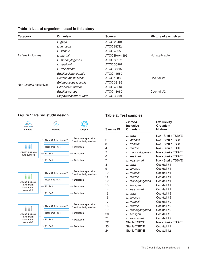| Organism<br>Category    |                        | <b>Source</b>     | <b>Mixture of exclusives</b> |  |  |
|-------------------------|------------------------|-------------------|------------------------------|--|--|
|                         | L. grayi               | ATCC 25401        |                              |  |  |
|                         | L. innocua             | ATCC 51742        |                              |  |  |
|                         | L. ivanovii            | ATCC 49953        |                              |  |  |
| Listeria inclusives     | L. marthii             | ATCC BAA-1595     | Not applicable               |  |  |
|                         | L. monocytogenes       | ATCC 35152        |                              |  |  |
|                         | L. seeligeri           | <b>ATCC 35967</b> |                              |  |  |
|                         | L. welshimeri          | ATCC 35897        |                              |  |  |
|                         | Bacillus licheniformis | ATCC 14580        |                              |  |  |
| Non-Listeria exclusives | Serratia marcescens    | ATCC 13880        | Cocktail #1                  |  |  |
|                         | Enterococcus faecalis  | ATCC 33186        |                              |  |  |
|                         | Citrobacter freundii   | ATCC 43864        |                              |  |  |
|                         | Bacillus cereus        | ATCC 130601       | Cocktail #2                  |  |  |
|                         | Staphylococcus aureus  | ATCC 33591        |                              |  |  |

## **Table 1: List of organisms used in this study**

## **Figure 1: Paired study design**



## **Table 2: Test samples**

| <b>Sample ID</b> | Listeria<br><b>Inclusive</b><br>Organism | <b>Exclusivity</b><br>Organism<br><b>Mixture</b> |
|------------------|------------------------------------------|--------------------------------------------------|
| 1                | L. grayi                                 | N/A - Sterile TSBYE                              |
| 2                | L. innocua                               | N/A - Sterile TSBYE                              |
| 3                | L. ivanovii                              | N/A - Sterile TSBYE                              |
| 4                | L. marthii                               | N/A - Sterile TSBYE                              |
| 5                | L. monocytogenes                         | N/A - Sterile TSBYE                              |
| 6                | L. seeligeri                             | N/A - Sterile TSBYE                              |
| 7                | L. welshimeri                            | N/A - Sterile TSBYE                              |
| 8                | L. grayi                                 | Cocktail #1                                      |
| 9                | L. innocua                               | Cocktail #1                                      |
| 10               | L. ivanovii                              | Cocktail #1                                      |
| 11               | L. marthii                               | Cocktail #1                                      |
| 12               | L. monocytogenes                         | Cocktail #1                                      |
| 13               | L. seeligeri                             | Cocktail #1                                      |
| 14               | L. welshimeri                            | Cocktail #1                                      |
| 15               | L. grayi                                 | Cocktail #2                                      |
| 16               | L. innocua                               | Cocktail #2                                      |
| 17               | L. ivanovii                              | Cocktail #2                                      |
| 18               | L. marthii                               | Cocktail #2                                      |
| 19               | L. monocytogenes                         | Cocktail #2                                      |
| 20               | L. seeligeri                             | Cocktail #2                                      |
| 21               | L. welshimeri                            | Cocktail #2                                      |
| 22               | Sterile TSBYE                            | N/A - Sterile TSBYE                              |
| 23               | <b>Sterile TSBYE</b>                     | Cocktail #1                                      |
| 24               | <b>Sterile TSBYE</b>                     | Cocktail #2                                      |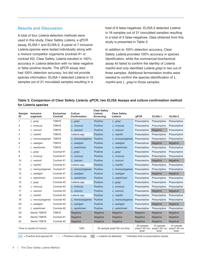## **Results and Discussion**

A total of four *Listeria* detection methods were used in this study, Clear Safety *Listeria*, a qPCR assay, ELISA-1 and ELISA-2. A panel of 7 inclusive *Listeria* species were tested individually along with a mixture competitor organisms (cocktail #1 or cocktail #2). Clear Safety *Listeria* resulted in 100% accuracy in *Listeria* detection with no false negative or false positive results. The qPCR assay also had 100% detection accuracy, but did not provide species information. ELISA-1 detected *Listeria* in 15 samples out of 21 inoculated samples resulting in a

total of 6 false-negatives. ELISA-2 detected *Listeria* in 16 samples out of 21 inoculated samples resulting in a total of 5 false-negatives. Data obtained from this study is presented in Table 3.

In addition to 100% detection accuracy, Clear Safety *Listeria* provided 100% accuracy in species identification, while the commercial biochemical assay kit failed to confirm the identity of *Listeria marthii* and only identified *Listeria grayi* in two out of three samples. Additional fermentation broths were needed to confirm the species identification of *L. marthii* and *L. grayi* in those samples.

## **Table 3: Comparison of Clear Safety Listeria, qPCR, two ELISA Assays and culture confirmation method for Listeria species**

| Sample<br>ID               | <b>Inclusive</b><br>organism | <b>Exclusives</b><br>Cocktail | Culture<br>Confirmation     | <b>Clear Safety</b><br>Listeria<br>Screening | <b>Clear Safety</b><br>Listeria     | qPCR                                | ELISA-1                             | ELISA-2     |
|----------------------------|------------------------------|-------------------------------|-----------------------------|----------------------------------------------|-------------------------------------|-------------------------------------|-------------------------------------|-------------|
| 1                          | L. grayi                     | <b>TSBYE</b>                  | L. grayi                    | <b>Positive</b>                              | L. grayi                            | Presumptive                         | Presumptive                         | Presumptive |
| 2                          | L. innocua                   | TSBYE                         | L. innocua                  | <b>Positive</b>                              | L. innocua                          | Presumptive                         | Presumptive                         | Presumptive |
| 3                          | L. <i>ivanovii</i>           | <b>TSBYE</b>                  | L. ivanovii                 | Positive                                     | L. <i>ivanovii</i>                  | Presumptive                         | Negative                            | Presumptive |
| $\overline{4}$             | L. marthii                   | <b>TSBYE</b>                  | Listeria spp.               | <b>Positive</b>                              | L. marthii                          | Presumptive                         | Presumptive                         | Presumptive |
| 5                          | L. monocytogenes             | <b>TSBYE</b>                  | L. monocytogenes            | Positive                                     | L. monocytogenes                    | Presumptive                         | Presumptive                         | Presumptive |
| 6                          | L. seeligeri                 | <b>TSBYE</b>                  | L. seeligeri                | Positive                                     | L. seeligeri                        | Presumptive                         | Negative                            | Negative    |
| 7                          | L. welshimeri                | <b>TSBYE</b>                  | L. welshimeri               | Positive                                     | L. welshimeri                       | Presumptive                         | Presumptive                         | Presumptive |
| 8                          | L. grayi                     | Cocktail #1                   | L. grayi                    | Positive                                     | L. grayi                            | Presumptive                         | Presumptive                         | Presumptive |
| 9                          | L. innocua                   | Cocktail #1                   | L. innocua                  | <b>Positive</b>                              | L. innocua                          | Presumptive                         | Presumptive                         | Presumptive |
| 10                         | L. <i>ivanovii</i>           | Cocktail #1                   | L. <i>ivanovii</i>          | Positive                                     | L. <i>ivanovii</i>                  | Presumptive                         | Negative                            | Negative    |
| 11                         | L. marthii                   | Cocktail #1                   | Listeria spp.               | <b>Positive</b>                              | L. marthii                          | Presumptive                         | Presumptive                         | Presumptive |
| 12                         | L. monocytogenes             | Cocktail #1                   | L. monocytogenes            | Positive                                     | L. monocytogenes                    | Presumptive                         | Presumptive                         | Presumptive |
| 13                         | L. seeligeri                 | Cocktail #1                   | L. seeligeri                | <b>Positive</b>                              | L. seeligeri                        | Presumptive                         | Negative                            | Negative    |
| 14                         | L. welshimeri                | Cocktail #1                   | L. welshimeri               | Positive                                     | L. welshimeri                       | Presumptive                         | Presumptive                         | Presumptive |
| 15                         | L. grayi                     | Cocktail #2                   | Listeria spp.               | <b>Positive</b>                              | L. grayi                            | Presumptive                         | Presumptive                         | Presumptive |
| 16                         | L. innocua                   | Cocktail #2                   | L. innocua                  | <b>Positive</b>                              | L. innocua                          | Presumptive                         | Presumptive                         | Presumptive |
| 17                         | L. ivanovii                  | Cocktail #2                   | L. ivanovii                 | Positive                                     | L. ivanovii                         | Presumptive                         | Negative                            | Negative    |
| 18                         | L. marthii                   | Cocktail #2                   | Listeria spp.               | Positive                                     | L. marthii                          | Presumptive                         | Presumptive                         | Presumptive |
| 19                         | L. monocytogenes             | Cocktail #2                   | L. monocytogenes            | Positive                                     | L. monocytogenes                    | Presumptive                         | Presumptive                         | Presumptive |
| 20                         | L. seeligeri                 | Cocktail #2                   | L. seeligeri                | Positive                                     | L. seeligeri                        | Presumptive                         | Negative                            | Negative    |
| 21                         | L. welshimeri                | Cocktail #2                   | L. welshimeri               | <b>Positive</b>                              | L. welshimeri                       | Presumptive                         | Presumptive                         | Presumptive |
| 22                         | Sterile TSBYE                | <b>TSBYE</b>                  | Negative                    | Negative                                     | Negative                            | Negative                            | Negative                            | Negative    |
| 23                         | Sterile TSBYE                | Cocktail #1                   | Negative                    | Negative                                     | Negative                            | <b>Negative</b>                     | <b>Negative</b>                     | Negative    |
| 24                         | Sterile TSBYE                | Cocktail #2                   | Negative                    | Negative                                     | Negative                            | Negative                            | Negative                            | Negative    |
| Time to results (in hours) |                              | 120h                          | 2h sample prep/12h run time |                                              | 2h sample<br>prep/1.5h run<br>time* | 1h sample<br>prep/1.5h run<br>time* | 1h sample<br>prep/1.5h run<br>time* |             |

= Positive and species ID = Positive Listeria spp.  $\frac{1}{100}$  = Listeria not detected \* indicates time to presumptive results.